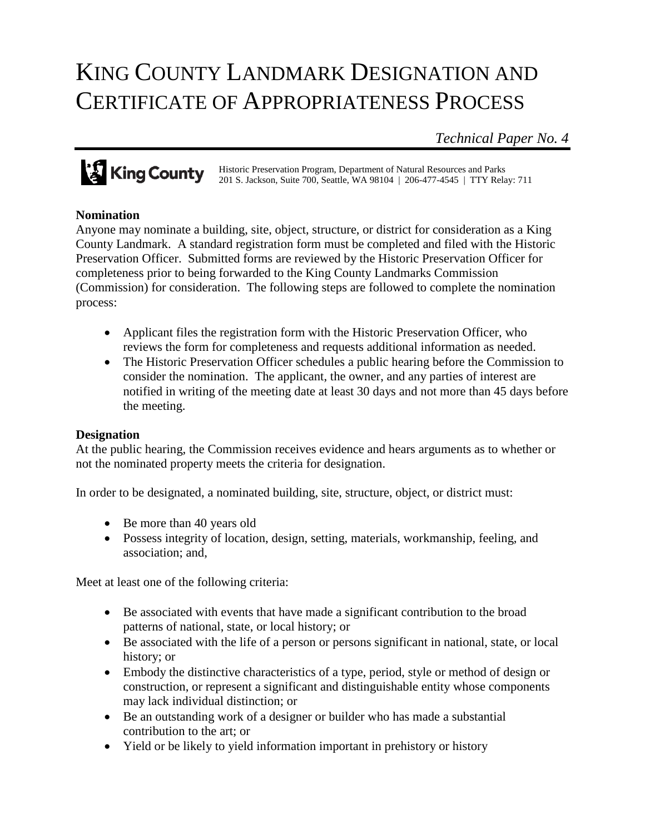# KING COUNTY LANDMARK DESIGNATION AND CERTIFICATE OF APPROPRIATENESS PROCESS

*Technical Paper No. 4*

<sup>2</sup> King County Historic Preservation Program, Department of Natural Resources and Parks<br>201 S. Jackson, Suite 700, Seattle, WA 98104 | 206-477-4545 | TTY Rela 201 S. Jackson, Suite 700, Seattle, WA 98104 | 206-477-4545 | TTY Relay: 711

### **Nomination**

Anyone may nominate a building, site, object, structure, or district for consideration as a King County Landmark. A standard registration form must be completed and filed with the Historic Preservation Officer. Submitted forms are reviewed by the Historic Preservation Officer for completeness prior to being forwarded to the King County Landmarks Commission (Commission) for consideration. The following steps are followed to complete the nomination process:

- Applicant files the registration form with the Historic Preservation Officer, who reviews the form for completeness and requests additional information as needed.
- The Historic Preservation Officer schedules a public hearing before the Commission to consider the nomination. The applicant, the owner, and any parties of interest are notified in writing of the meeting date at least 30 days and not more than 45 days before the meeting.

# **Designation**

At the public hearing, the Commission receives evidence and hears arguments as to whether or not the nominated property meets the criteria for designation.

In order to be designated, a nominated building, site, structure, object, or district must:

- Be more than 40 years old
- Possess integrity of location, design, setting, materials, workmanship, feeling, and association; and,

Meet at least one of the following criteria:

- Be associated with events that have made a significant contribution to the broad patterns of national, state, or local history; or
- Be associated with the life of a person or persons significant in national, state, or local history; or
- Embody the distinctive characteristics of a type, period, style or method of design or construction, or represent a significant and distinguishable entity whose components may lack individual distinction; or
- Be an outstanding work of a designer or builder who has made a substantial contribution to the art; or
- Yield or be likely to yield information important in prehistory or history